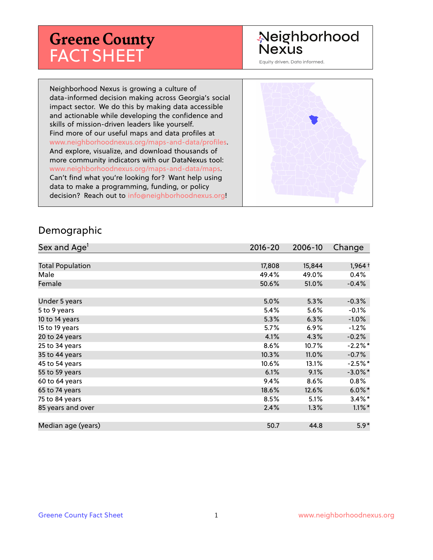# **Greene County** FACT SHEET

# Neighborhood **Nexus**

Equity driven. Data informed.

Neighborhood Nexus is growing a culture of data-informed decision making across Georgia's social impact sector. We do this by making data accessible and actionable while developing the confidence and skills of mission-driven leaders like yourself. Find more of our useful maps and data profiles at www.neighborhoodnexus.org/maps-and-data/profiles. And explore, visualize, and download thousands of more community indicators with our DataNexus tool: www.neighborhoodnexus.org/maps-and-data/maps. Can't find what you're looking for? Want help using data to make a programming, funding, or policy decision? Reach out to [info@neighborhoodnexus.org!](mailto:info@neighborhoodnexus.org)



#### Demographic

| Sex and Age <sup>1</sup> | $2016 - 20$ | 2006-10 | Change     |
|--------------------------|-------------|---------|------------|
|                          |             |         |            |
| <b>Total Population</b>  | 17,808      | 15,844  | $1,964+$   |
| Male                     | 49.4%       | 49.0%   | 0.4%       |
| Female                   | 50.6%       | 51.0%   | $-0.4%$    |
|                          |             |         |            |
| Under 5 years            | 5.0%        | 5.3%    | $-0.3%$    |
| 5 to 9 years             | 5.4%        | 5.6%    | $-0.1%$    |
| 10 to 14 years           | 5.3%        | 6.3%    | $-1.0\%$   |
| 15 to 19 years           | 5.7%        | 6.9%    | $-1.2%$    |
| 20 to 24 years           | 4.1%        | 4.3%    | $-0.2%$    |
| 25 to 34 years           | 8.6%        | 10.7%   | $-2.2%$ *  |
| 35 to 44 years           | 10.3%       | 11.0%   | $-0.7%$    |
| 45 to 54 years           | 10.6%       | 13.1%   | $-2.5%$ *  |
| 55 to 59 years           | 6.1%        | 9.1%    | $-3.0\%$ * |
| 60 to 64 years           | 9.4%        | 8.6%    | $0.8\%$    |
| 65 to 74 years           | 18.6%       | 12.6%   | $6.0\%$    |
| 75 to 84 years           | 8.5%        | 5.1%    | $3.4\%$ *  |
| 85 years and over        | 2.4%        | 1.3%    | $1.1\%$ *  |
|                          |             |         |            |
| Median age (years)       | 50.7        | 44.8    | $5.9*$     |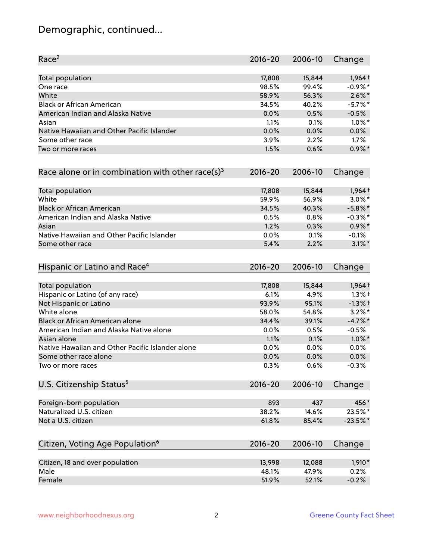# Demographic, continued...

| Race <sup>2</sup>                                   | $2016 - 20$ | 2006-10 | Change     |
|-----------------------------------------------------|-------------|---------|------------|
| <b>Total population</b>                             | 17,808      | 15,844  | $1,964+$   |
| One race                                            | 98.5%       | 99.4%   | $-0.9%$ *  |
| White                                               | 58.9%       | 56.3%   | $2.6\%$ *  |
| <b>Black or African American</b>                    | 34.5%       | 40.2%   | $-5.7\%$ * |
| American Indian and Alaska Native                   | 0.0%        | 0.5%    | $-0.5%$    |
| Asian                                               | 1.1%        | 0.1%    | $1.0\%$ *  |
| Native Hawaiian and Other Pacific Islander          | 0.0%        | 0.0%    | 0.0%       |
| Some other race                                     | 3.9%        | 2.2%    | 1.7%       |
| Two or more races                                   | 1.5%        | 0.6%    | $0.9\%$ *  |
| Race alone or in combination with other race(s) $3$ | $2016 - 20$ | 2006-10 | Change     |
| Total population                                    | 17,808      | 15,844  | 1,964 +    |
| White                                               | 59.9%       | 56.9%   | $3.0\%$ *  |
| <b>Black or African American</b>                    | 34.5%       | 40.3%   | $-5.8\%$ * |
| American Indian and Alaska Native                   | 0.5%        | 0.8%    | $-0.3\%$ * |
| Asian                                               | 1.2%        | 0.3%    | $0.9\%$ *  |
| Native Hawaiian and Other Pacific Islander          | 0.0%        | 0.1%    | $-0.1%$    |
| Some other race                                     | 5.4%        | 2.2%    | $3.1\%$ *  |
| Hispanic or Latino and Race <sup>4</sup>            | $2016 - 20$ | 2006-10 | Change     |
| <b>Total population</b>                             | 17,808      | 15,844  | 1,964 +    |
| Hispanic or Latino (of any race)                    | 6.1%        | 4.9%    | $1.3%$ †   |
| Not Hispanic or Latino                              | 93.9%       | 95.1%   | $-1.3%$ +  |
| White alone                                         | 58.0%       | 54.8%   | $3.2\%$ *  |
| Black or African American alone                     | 34.4%       | 39.1%   | $-4.7%$ *  |
| American Indian and Alaska Native alone             | 0.0%        | 0.5%    | $-0.5%$    |
| Asian alone                                         | 1.1%        | 0.1%    | $1.0\%$ *  |
| Native Hawaiian and Other Pacific Islander alone    | 0.0%        | 0.0%    | 0.0%       |
| Some other race alone                               | 0.0%        | 0.0%    | 0.0%       |
| Two or more races                                   | 0.3%        | 0.6%    | $-0.3%$    |
| U.S. Citizenship Status <sup>5</sup>                | $2016 - 20$ | 2006-10 | Change     |
| Foreign-born population                             | 893         | 437     | 456*       |
| Naturalized U.S. citizen                            | 38.2%       | 14.6%   | 23.5%*     |
| Not a U.S. citizen                                  | 61.8%       | 85.4%   | $-23.5%$ * |
| Citizen, Voting Age Population <sup>6</sup>         | $2016 - 20$ | 2006-10 | Change     |
|                                                     |             |         |            |
| Citizen, 18 and over population                     | 13,998      | 12,088  | 1,910*     |
| Male                                                | 48.1%       | 47.9%   | 0.2%       |
| Female                                              | 51.9%       | 52.1%   | $-0.2%$    |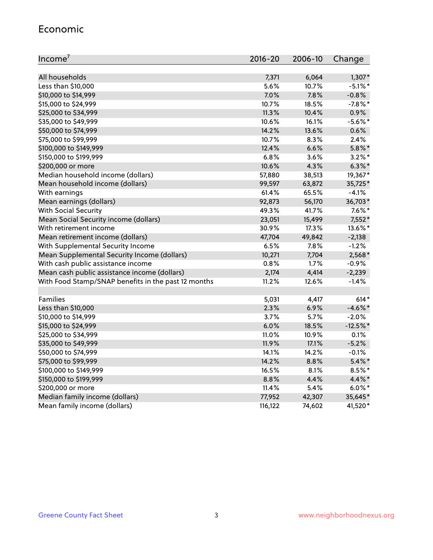#### Economic

| Income <sup>7</sup>                                 | $2016 - 20$ | 2006-10 | Change     |
|-----------------------------------------------------|-------------|---------|------------|
|                                                     |             |         |            |
| All households                                      | 7,371       | 6,064   | $1,307*$   |
| Less than \$10,000                                  | 5.6%        | 10.7%   | $-5.1\%$ * |
| \$10,000 to \$14,999                                | 7.0%        | 7.8%    | $-0.8%$    |
| \$15,000 to \$24,999                                | 10.7%       | 18.5%   | $-7.8\%$ * |
| \$25,000 to \$34,999                                | 11.3%       | 10.4%   | 0.9%       |
| \$35,000 to \$49,999                                | 10.6%       | 16.1%   | $-5.6\%$ * |
| \$50,000 to \$74,999                                | 14.2%       | 13.6%   | 0.6%       |
| \$75,000 to \$99,999                                | 10.7%       | 8.3%    | 2.4%       |
| \$100,000 to \$149,999                              | 12.4%       | 6.6%    | $5.8\%$ *  |
| \$150,000 to \$199,999                              | 6.8%        | 3.6%    | $3.2\%$ *  |
| \$200,000 or more                                   | 10.6%       | 4.3%    | $6.3\%$ *  |
| Median household income (dollars)                   | 57,880      | 38,513  | 19,367*    |
| Mean household income (dollars)                     | 99,597      | 63,872  | 35,725*    |
| With earnings                                       | 61.4%       | 65.5%   | $-4.1%$    |
| Mean earnings (dollars)                             | 92,873      | 56,170  | 36,703*    |
| <b>With Social Security</b>                         | 49.3%       | 41.7%   | $7.6\%$ *  |
| Mean Social Security income (dollars)               | 23,051      | 15,499  | 7,552*     |
| With retirement income                              | 30.9%       | 17.3%   | 13.6%*     |
| Mean retirement income (dollars)                    | 47,704      | 49,842  | $-2,138$   |
| With Supplemental Security Income                   | 6.5%        | $7.8\%$ | $-1.2%$    |
| Mean Supplemental Security Income (dollars)         | 10,271      | 7,704   | 2,568*     |
| With cash public assistance income                  | 0.8%        | 1.7%    | $-0.9%$    |
| Mean cash public assistance income (dollars)        | 2,174       | 4,414   | $-2,239$   |
| With Food Stamp/SNAP benefits in the past 12 months | 11.2%       | 12.6%   | $-1.4%$    |
|                                                     |             |         |            |
| Families                                            | 5,031       | 4,417   | $614*$     |
| Less than \$10,000                                  | 2.3%        | 6.9%    | $-4.6\%$ * |
| \$10,000 to \$14,999                                | 3.7%        | 5.7%    | $-2.0%$    |
| \$15,000 to \$24,999                                | 6.0%        | 18.5%   | $-12.5%$ * |
| \$25,000 to \$34,999                                | 11.0%       | 10.9%   | 0.1%       |
| \$35,000 to \$49,999                                | 11.9%       | 17.1%   | $-5.2%$    |
| \$50,000 to \$74,999                                | 14.1%       | 14.2%   | $-0.1%$    |
| \$75,000 to \$99,999                                | 14.2%       | 8.8%    | $5.4\%$ *  |
| \$100,000 to \$149,999                              | 16.5%       | 8.1%    | 8.5%*      |
| \$150,000 to \$199,999                              | 8.8%        | 4.4%    | 4.4%*      |
| \$200,000 or more                                   | 11.4%       | 5.4%    | $6.0\%$ *  |
| Median family income (dollars)                      | 77,952      | 42,307  | 35,645*    |
| Mean family income (dollars)                        | 116,122     | 74,602  | 41,520*    |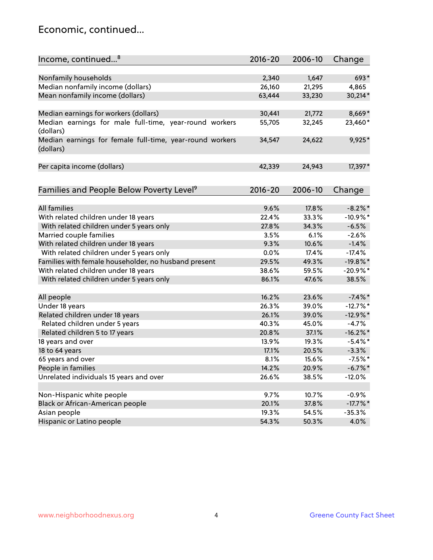### Economic, continued...

| Income, continued <sup>8</sup>                                        | $2016 - 20$ | 2006-10 | Change      |
|-----------------------------------------------------------------------|-------------|---------|-------------|
|                                                                       |             |         |             |
| Nonfamily households                                                  | 2,340       | 1,647   | 693*        |
| Median nonfamily income (dollars)                                     | 26,160      | 21,295  | 4,865       |
| Mean nonfamily income (dollars)                                       | 63,444      | 33,230  | 30,214*     |
| Median earnings for workers (dollars)                                 | 30,441      | 21,772  | 8,669*      |
| Median earnings for male full-time, year-round workers                | 55,705      | 32,245  | 23,460*     |
| (dollars)                                                             |             |         |             |
| Median earnings for female full-time, year-round workers<br>(dollars) | 34,547      | 24,622  | 9,925*      |
| Per capita income (dollars)                                           | 42,339      | 24,943  | 17,397*     |
|                                                                       |             |         |             |
| Families and People Below Poverty Level <sup>9</sup>                  | $2016 - 20$ | 2006-10 | Change      |
|                                                                       |             |         |             |
| <b>All families</b>                                                   | 9.6%        | 17.8%   | $-8.2\%$ *  |
| With related children under 18 years                                  | 22.4%       | 33.3%   | $-10.9%$ *  |
| With related children under 5 years only                              | 27.8%       | 34.3%   | $-6.5%$     |
| Married couple families                                               | 3.5%        | 6.1%    | $-2.6%$     |
| With related children under 18 years                                  | 9.3%        | 10.6%   | $-1.4%$     |
| With related children under 5 years only                              | 0.0%        | 17.4%   | $-17.4%$    |
| Families with female householder, no husband present                  | 29.5%       | 49.3%   | $-19.8%$ *  |
| With related children under 18 years                                  | 38.6%       | 59.5%   | $-20.9%$ *  |
| With related children under 5 years only                              | 86.1%       | 47.6%   | 38.5%       |
| All people                                                            | 16.2%       | 23.6%   | $-7.4\%$ *  |
| Under 18 years                                                        | 26.3%       | 39.0%   | $-12.7%$ *  |
| Related children under 18 years                                       | 26.1%       | 39.0%   | $-12.9%$ *  |
| Related children under 5 years                                        | 40.3%       | 45.0%   | $-4.7%$     |
| Related children 5 to 17 years                                        | 20.8%       | 37.1%   | $-16.2\%$ * |
| 18 years and over                                                     | 13.9%       | 19.3%   | $-5.4\%$ *  |
| 18 to 64 years                                                        | 17.1%       | 20.5%   | $-3.3%$     |
| 65 years and over                                                     | 8.1%        | 15.6%   | $-7.5%$ *   |
| People in families                                                    | 14.2%       | 20.9%   | $-6.7\%$ *  |
| Unrelated individuals 15 years and over                               | 26.6%       | 38.5%   | $-12.0%$    |
|                                                                       |             |         |             |
| Non-Hispanic white people                                             | 9.7%        | 10.7%   | $-0.9%$     |
| Black or African-American people                                      | 20.1%       | 37.8%   | $-17.7\%$ * |
| Asian people                                                          | 19.3%       | 54.5%   | $-35.3%$    |
| Hispanic or Latino people                                             | 54.3%       | 50.3%   | 4.0%        |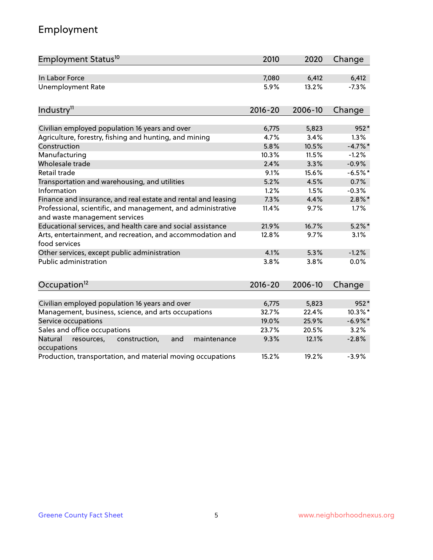# Employment

| Employment Status <sup>10</sup>                                                               | 2010        | 2020    | Change     |
|-----------------------------------------------------------------------------------------------|-------------|---------|------------|
| In Labor Force                                                                                | 7,080       | 6,412   | 6,412      |
| <b>Unemployment Rate</b>                                                                      | 5.9%        | 13.2%   | $-7.3%$    |
| Industry <sup>11</sup>                                                                        | $2016 - 20$ | 2006-10 | Change     |
| Civilian employed population 16 years and over                                                | 6,775       | 5,823   | 952*       |
| Agriculture, forestry, fishing and hunting, and mining                                        | 4.7%        | 3.4%    | 1.3%       |
| Construction                                                                                  | 5.8%        | 10.5%   | $-4.7\%$ * |
| Manufacturing                                                                                 | 10.3%       | 11.5%   | $-1.2%$    |
| Wholesale trade                                                                               | 2.4%        | 3.3%    | $-0.9%$    |
| Retail trade                                                                                  | 9.1%        | 15.6%   | $-6.5%$ *  |
| Transportation and warehousing, and utilities                                                 | 5.2%        | 4.5%    | 0.7%       |
| Information                                                                                   | 1.2%        | 1.5%    | $-0.3%$    |
| Finance and insurance, and real estate and rental and leasing                                 | 7.3%        | 4.4%    | $2.8\%$ *  |
| Professional, scientific, and management, and administrative<br>and waste management services | 11.4%       | 9.7%    | 1.7%       |
| Educational services, and health care and social assistance                                   | 21.9%       | 16.7%   | $5.2\%$ *  |
| Arts, entertainment, and recreation, and accommodation and<br>food services                   | 12.8%       | 9.7%    | 3.1%       |
| Other services, except public administration                                                  | 4.1%        | 5.3%    | $-1.2%$    |
| <b>Public administration</b>                                                                  | 3.8%        | 3.8%    | 0.0%       |
| Occupation <sup>12</sup>                                                                      | $2016 - 20$ | 2006-10 | Change     |
|                                                                                               |             |         |            |
| Civilian employed population 16 years and over                                                | 6,775       | 5,823   | 952*       |
| Management, business, science, and arts occupations                                           | 32.7%       | 22.4%   | 10.3%*     |
| Service occupations                                                                           | 19.0%       | 25.9%   | $-6.9\%$ * |
| Sales and office occupations                                                                  | 23.7%       | 20.5%   | 3.2%       |
| Natural<br>resources,<br>construction,<br>and<br>maintenance<br>occupations                   | 9.3%        | 12.1%   | $-2.8%$    |
| Production, transportation, and material moving occupations                                   | 15.2%       | 19.2%   | $-3.9%$    |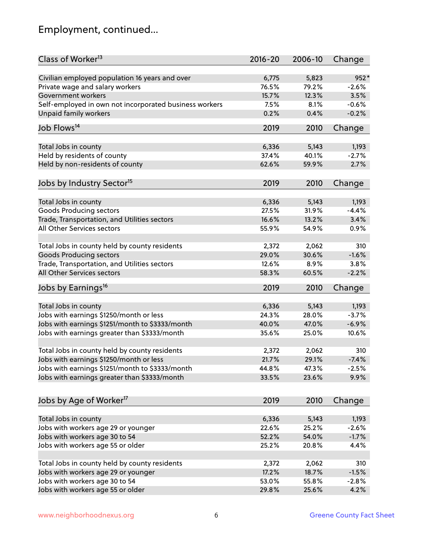# Employment, continued...

| Class of Worker <sup>13</sup>                          | $2016 - 20$ | 2006-10 | Change  |
|--------------------------------------------------------|-------------|---------|---------|
| Civilian employed population 16 years and over         | 6,775       | 5,823   | 952*    |
| Private wage and salary workers                        | 76.5%       | 79.2%   | $-2.6%$ |
| Government workers                                     | 15.7%       | 12.3%   | 3.5%    |
| Self-employed in own not incorporated business workers | 7.5%        | 8.1%    | $-0.6%$ |
| Unpaid family workers                                  | 0.2%        | 0.4%    | $-0.2%$ |
| Job Flows <sup>14</sup>                                | 2019        | 2010    | Change  |
| Total Jobs in county                                   | 6,336       | 5,143   | 1,193   |
| Held by residents of county                            | 37.4%       | 40.1%   | $-2.7%$ |
| Held by non-residents of county                        | 62.6%       | 59.9%   | 2.7%    |
|                                                        |             |         |         |
| Jobs by Industry Sector <sup>15</sup>                  | 2019        | 2010    | Change  |
| Total Jobs in county                                   | 6,336       | 5,143   | 1,193   |
| Goods Producing sectors                                | 27.5%       | 31.9%   | $-4.4%$ |
| Trade, Transportation, and Utilities sectors           | 16.6%       | 13.2%   | 3.4%    |
| All Other Services sectors                             | 55.9%       | 54.9%   | 0.9%    |
|                                                        |             |         |         |
| Total Jobs in county held by county residents          | 2,372       | 2,062   | 310     |
| <b>Goods Producing sectors</b>                         | 29.0%       | 30.6%   | $-1.6%$ |
| Trade, Transportation, and Utilities sectors           | 12.6%       | 8.9%    | 3.8%    |
| All Other Services sectors                             | 58.3%       | 60.5%   | $-2.2%$ |
| Jobs by Earnings <sup>16</sup>                         | 2019        | 2010    | Change  |
|                                                        |             |         |         |
| Total Jobs in county                                   | 6,336       | 5,143   | 1,193   |
| Jobs with earnings \$1250/month or less                | 24.3%       | 28.0%   | $-3.7%$ |
| Jobs with earnings \$1251/month to \$3333/month        | 40.0%       | 47.0%   | $-6.9%$ |
| Jobs with earnings greater than \$3333/month           | 35.6%       | 25.0%   | 10.6%   |
| Total Jobs in county held by county residents          | 2,372       | 2,062   | 310     |
| Jobs with earnings \$1250/month or less                | 21.7%       | 29.1%   | $-7.4%$ |
| Jobs with earnings \$1251/month to \$3333/month        | 44.8%       | 47.3%   | $-2.5%$ |
| Jobs with earnings greater than \$3333/month           | 33.5%       | 23.6%   | 9.9%    |
|                                                        |             |         |         |
| Jobs by Age of Worker <sup>17</sup>                    | 2019        | 2010    | Change  |
| Total Jobs in county                                   | 6,336       | 5,143   | 1,193   |
| Jobs with workers age 29 or younger                    | 22.6%       | 25.2%   | $-2.6%$ |
| Jobs with workers age 30 to 54                         | 52.2%       | 54.0%   | $-1.7%$ |
| Jobs with workers age 55 or older                      | 25.2%       | 20.8%   | 4.4%    |
|                                                        |             |         |         |
| Total Jobs in county held by county residents          | 2,372       | 2,062   | 310     |
| Jobs with workers age 29 or younger                    | 17.2%       | 18.7%   | $-1.5%$ |
| Jobs with workers age 30 to 54                         | 53.0%       | 55.8%   | $-2.8%$ |
| Jobs with workers age 55 or older                      | 29.8%       | 25.6%   | 4.2%    |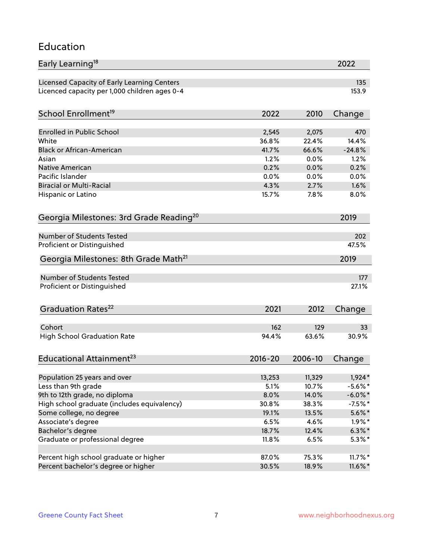#### Education

| Early Learning <sup>18</sup>                        |             |                 | 2022                   |
|-----------------------------------------------------|-------------|-----------------|------------------------|
| Licensed Capacity of Early Learning Centers         |             |                 | 135                    |
| Licenced capacity per 1,000 children ages 0-4       |             |                 | 153.9                  |
| School Enrollment <sup>19</sup>                     | 2022        | 2010            | Change                 |
|                                                     |             |                 |                        |
| <b>Enrolled in Public School</b>                    | 2,545       | 2,075           | 470                    |
| White                                               | 36.8%       | 22.4%           | 14.4%                  |
| <b>Black or African-American</b>                    | 41.7%       | 66.6%           | $-24.8%$               |
| Asian                                               | 1.2%        | 0.0%            | 1.2%                   |
| <b>Native American</b>                              | 0.2%        | 0.0%            | 0.2%                   |
| Pacific Islander                                    | 0.0%        | 0.0%            | 0.0%                   |
| <b>Biracial or Multi-Racial</b>                     | 4.3%        | 2.7%            | 1.6%                   |
| Hispanic or Latino                                  | 15.7%       | 7.8%            | 8.0%                   |
| Georgia Milestones: 3rd Grade Reading <sup>20</sup> |             |                 | 2019                   |
|                                                     |             |                 |                        |
| Number of Students Tested                           |             |                 | 202                    |
| Proficient or Distinguished                         |             |                 | 47.5%                  |
| Georgia Milestones: 8th Grade Math <sup>21</sup>    |             |                 | 2019                   |
| <b>Number of Students Tested</b>                    |             |                 | 177                    |
| Proficient or Distinguished                         |             |                 | 27.1%                  |
|                                                     |             |                 |                        |
| Graduation Rates <sup>22</sup>                      | 2021        | 2012            | Change                 |
| Cohort                                              | 162         | 129             | 33                     |
| <b>High School Graduation Rate</b>                  | 94.4%       | 63.6%           | 30.9%                  |
|                                                     |             |                 |                        |
| Educational Attainment <sup>23</sup>                | $2016 - 20$ | 2006-10         | Change                 |
|                                                     | 13,253      |                 |                        |
| Population 25 years and over<br>Less than 9th grade | 5.1%        | 11,329<br>10.7% | $1,924*$<br>$-5.6\%$ * |
| 9th to 12th grade, no diploma                       | 8.0%        | 14.0%           | $-6.0\%$ *             |
| High school graduate (includes equivalency)         | 30.8%       |                 |                        |
|                                                     |             | 38.3%           | $-7.5%$ *              |
| Some college, no degree                             | 19.1%       | 13.5%           | $5.6\%$ *              |
| Associate's degree                                  | 6.5%        | 4.6%            | $1.9\%$ *              |
| Bachelor's degree                                   | 18.7%       | 12.4%           | $6.3\%$ *              |
| Graduate or professional degree                     | 11.8%       | 6.5%            | $5.3\%$ *              |
| Percent high school graduate or higher              | 87.0%       | 75.3%           | $11.7\%$ *             |
| Percent bachelor's degree or higher                 | 30.5%       | 18.9%           | 11.6%*                 |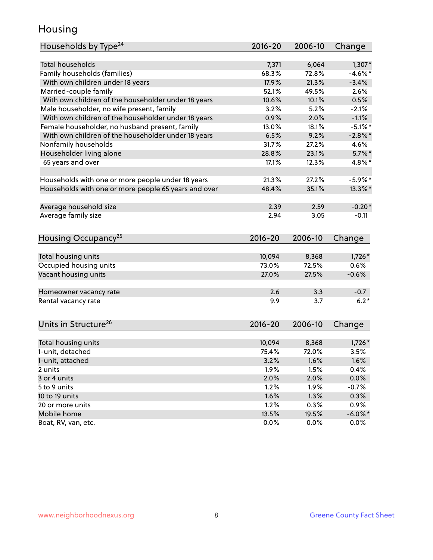### Housing

| Households by Type <sup>24</sup>                     | 2016-20     | 2006-10 | Change     |
|------------------------------------------------------|-------------|---------|------------|
|                                                      |             |         |            |
| <b>Total households</b>                              | 7,371       | 6,064   | $1,307*$   |
| Family households (families)                         | 68.3%       | 72.8%   | $-4.6\%$ * |
| With own children under 18 years                     | 17.9%       | 21.3%   | $-3.4%$    |
| Married-couple family                                | 52.1%       | 49.5%   | 2.6%       |
| With own children of the householder under 18 years  | 10.6%       | 10.1%   | 0.5%       |
| Male householder, no wife present, family            | 3.2%        | 5.2%    | $-2.1%$    |
| With own children of the householder under 18 years  | 0.9%        | 2.0%    | $-1.1%$    |
| Female householder, no husband present, family       | 13.0%       | 18.1%   | $-5.1\%$ * |
| With own children of the householder under 18 years  | 6.5%        | 9.2%    | $-2.8\%$ * |
| Nonfamily households                                 | 31.7%       | 27.2%   | 4.6%       |
| Householder living alone                             | 28.8%       | 23.1%   | $5.7\%$ *  |
| 65 years and over                                    | 17.1%       | 12.3%   | 4.8%*      |
|                                                      |             |         |            |
| Households with one or more people under 18 years    | 21.3%       | 27.2%   | $-5.9\%$ * |
| Households with one or more people 65 years and over | 48.4%       | 35.1%   | 13.3%*     |
| Average household size                               | 2.39        | 2.59    | $-0.20*$   |
| Average family size                                  | 2.94        | 3.05    | $-0.11$    |
|                                                      |             |         |            |
| Housing Occupancy <sup>25</sup>                      | $2016 - 20$ | 2006-10 | Change     |
|                                                      |             |         |            |
| Total housing units                                  | 10,094      | 8,368   | $1,726*$   |
| Occupied housing units                               | 73.0%       | 72.5%   | 0.6%       |
| Vacant housing units                                 | 27.0%       | 27.5%   | $-0.6%$    |
| Homeowner vacancy rate                               | 2.6         | 3.3     | $-0.7$     |
| Rental vacancy rate                                  | 9.9         | 3.7     | $6.2*$     |
|                                                      |             |         |            |
| Units in Structure <sup>26</sup>                     | $2016 - 20$ | 2006-10 | Change     |
| Total housing units                                  | 10,094      | 8,368   | $1,726*$   |
| 1-unit, detached                                     | 75.4%       | 72.0%   | 3.5%       |
| 1-unit, attached                                     | 3.2%        | 1.6%    | 1.6%       |
| 2 units                                              | 1.9%        | 1.5%    | 0.4%       |
| 3 or 4 units                                         | 2.0%        | 2.0%    | 0.0%       |
| 5 to 9 units                                         | 1.2%        | 1.9%    | $-0.7%$    |
| 10 to 19 units                                       | 1.6%        | 1.3%    | 0.3%       |
| 20 or more units                                     | 1.2%        | 0.3%    | 0.9%       |
| Mobile home                                          | 13.5%       | 19.5%   | $-6.0\%$ * |
| Boat, RV, van, etc.                                  |             |         |            |
|                                                      | 0.0%        | 0.0%    | $0.0\%$    |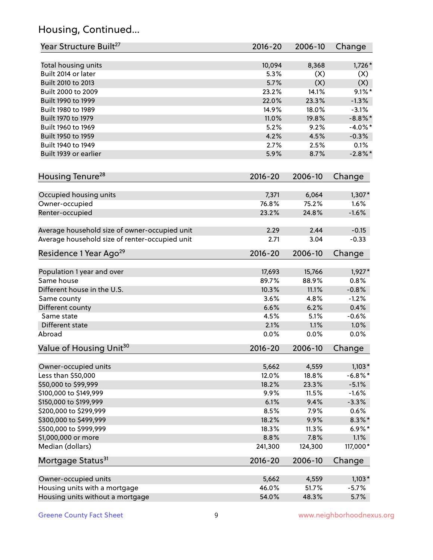# Housing, Continued...

| Year Structure Built <sup>27</sup>             | 2016-20     | 2006-10 | Change     |
|------------------------------------------------|-------------|---------|------------|
| Total housing units                            | 10,094      | 8,368   | $1,726*$   |
| Built 2014 or later                            | 5.3%        | (X)     | (X)        |
| Built 2010 to 2013                             | 5.7%        | (X)     | (X)        |
| Built 2000 to 2009                             | 23.2%       | 14.1%   | $9.1\%$ *  |
| Built 1990 to 1999                             | 22.0%       | 23.3%   | $-1.3%$    |
| Built 1980 to 1989                             | 14.9%       | 18.0%   | $-3.1%$    |
| Built 1970 to 1979                             | 11.0%       | 19.8%   | $-8.8\%$ * |
| Built 1960 to 1969                             | 5.2%        | 9.2%    | $-4.0\%$ * |
| Built 1950 to 1959                             | 4.2%        | 4.5%    | $-0.3%$    |
| Built 1940 to 1949                             | 2.7%        | 2.5%    | 0.1%       |
| Built 1939 or earlier                          | 5.9%        | 8.7%    | $-2.8\%$ * |
|                                                |             |         |            |
| Housing Tenure <sup>28</sup>                   | $2016 - 20$ | 2006-10 | Change     |
| Occupied housing units                         | 7,371       | 6,064   | $1,307*$   |
| Owner-occupied                                 | 76.8%       | 75.2%   | 1.6%       |
| Renter-occupied                                | 23.2%       | 24.8%   | $-1.6%$    |
| Average household size of owner-occupied unit  | 2.29        | 2.44    | $-0.15$    |
| Average household size of renter-occupied unit | 2.71        | 3.04    | $-0.33$    |
| Residence 1 Year Ago <sup>29</sup>             | 2016-20     | 2006-10 | Change     |
| Population 1 year and over                     | 17,693      | 15,766  | $1,927*$   |
| Same house                                     | 89.7%       | 88.9%   | 0.8%       |
| Different house in the U.S.                    | 10.3%       | 11.1%   | $-0.8%$    |
| Same county                                    | 3.6%        | 4.8%    | $-1.2%$    |
| Different county                               | 6.6%        | 6.2%    | 0.4%       |
| Same state                                     | 4.5%        | 5.1%    | $-0.6%$    |
| Different state                                | 2.1%        | 1.1%    | 1.0%       |
| Abroad                                         | 0.0%        | 0.0%    | 0.0%       |
| Value of Housing Unit <sup>30</sup>            | 2016-20     | 2006-10 | Change     |
| Owner-occupied units                           | 5,662       | 4,559   | $1,103*$   |
| Less than \$50,000                             | 12.0%       | 18.8%   | $-6.8\%$ * |
| \$50,000 to \$99,999                           | 18.2%       | 23.3%   | $-5.1%$    |
| \$100,000 to \$149,999                         | 9.9%        | 11.5%   | $-1.6%$    |
| \$150,000 to \$199,999                         | 6.1%        | 9.4%    | $-3.3%$    |
| \$200,000 to \$299,999                         | 8.5%        | 7.9%    | 0.6%       |
| \$300,000 to \$499,999                         | 18.2%       | 9.9%    | $8.3\%$ *  |
| \$500,000 to \$999,999                         | 18.3%       | 11.3%   | $6.9\%*$   |
| \$1,000,000 or more                            | 8.8%        | 7.8%    | 1.1%       |
| Median (dollars)                               | 241,300     | 124,300 | 117,000*   |
| Mortgage Status <sup>31</sup>                  | $2016 - 20$ | 2006-10 | Change     |
|                                                |             |         |            |
| Owner-occupied units                           | 5,662       | 4,559   | $1,103*$   |
| Housing units with a mortgage                  | 46.0%       | 51.7%   | $-5.7%$    |
| Housing units without a mortgage               | 54.0%       | 48.3%   | 5.7%       |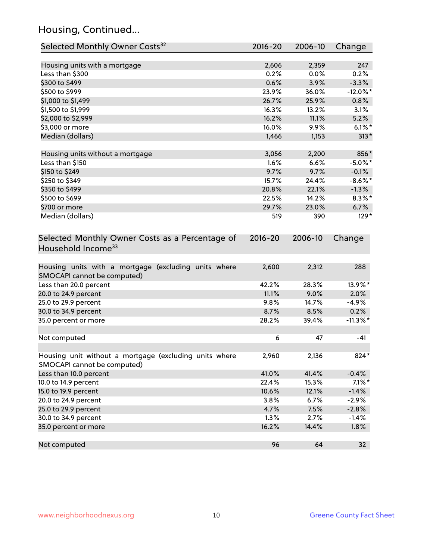# Housing, Continued...

| Selected Monthly Owner Costs <sup>32</sup>                                            | 2016-20     | 2006-10 | Change      |
|---------------------------------------------------------------------------------------|-------------|---------|-------------|
| Housing units with a mortgage                                                         | 2,606       | 2,359   | 247         |
| Less than \$300                                                                       | 0.2%        | 0.0%    | 0.2%        |
| \$300 to \$499                                                                        | 0.6%        | 3.9%    | $-3.3%$     |
| \$500 to \$999                                                                        | 23.9%       | 36.0%   | $-12.0\%$ * |
| \$1,000 to \$1,499                                                                    | 26.7%       | 25.9%   | 0.8%        |
| \$1,500 to \$1,999                                                                    | 16.3%       | 13.2%   | 3.1%        |
| \$2,000 to \$2,999                                                                    | 16.2%       | 11.1%   | 5.2%        |
| \$3,000 or more                                                                       | 16.0%       | 9.9%    | $6.1\%$ *   |
| Median (dollars)                                                                      | 1,466       | 1,153   | $313*$      |
| Housing units without a mortgage                                                      | 3,056       | 2,200   | 856*        |
| Less than \$150                                                                       | 1.6%        | 6.6%    | $-5.0\%$ *  |
| \$150 to \$249                                                                        | 9.7%        | 9.7%    | $-0.1%$     |
| \$250 to \$349                                                                        | 15.7%       | 24.4%   | $-8.6\%$ *  |
| \$350 to \$499                                                                        | 20.8%       | 22.1%   | $-1.3%$     |
| \$500 to \$699                                                                        | 22.5%       | 14.2%   | $8.3\%$ *   |
| \$700 or more                                                                         | 29.7%       | 23.0%   | 6.7%        |
| Median (dollars)                                                                      | 519         | 390     | 129*        |
| Selected Monthly Owner Costs as a Percentage of<br>Household Income <sup>33</sup>     | $2016 - 20$ | 2006-10 | Change      |
| Housing units with a mortgage (excluding units where<br>SMOCAPI cannot be computed)   | 2,600       | 2,312   | 288         |
| Less than 20.0 percent                                                                | 42.2%       | 28.3%   | 13.9%*      |
| 20.0 to 24.9 percent                                                                  | 11.1%       | 9.0%    | 2.0%        |
| 25.0 to 29.9 percent                                                                  | 9.8%        | 14.7%   | $-4.9%$     |
| 30.0 to 34.9 percent                                                                  | 8.7%        | 8.5%    | 0.2%        |
| 35.0 percent or more                                                                  | 28.2%       | 39.4%   | $-11.3\%$ * |
| Not computed                                                                          | 6           | 47      | $-41$       |
| Housing unit without a mortgage (excluding units where<br>SMOCAPI cannot be computed) | 2,960       | 2,136   | 824*        |
| Less than 10.0 percent                                                                | 41.0%       | 41.4%   | $-0.4%$     |
| 10.0 to 14.9 percent                                                                  | 22.4%       | 15.3%   | $7.1\%$ *   |
| 15.0 to 19.9 percent                                                                  | 10.6%       | 12.1%   | $-1.4%$     |
| 20.0 to 24.9 percent                                                                  | 3.8%        | 6.7%    | $-2.9%$     |
| 25.0 to 29.9 percent                                                                  | 4.7%        | 7.5%    | $-2.8%$     |
| 30.0 to 34.9 percent                                                                  | 1.3%        | 2.7%    | $-1.4%$     |
| 35.0 percent or more                                                                  | 16.2%       | 14.4%   | 1.8%        |
| Not computed                                                                          | 96          | 64      | 32          |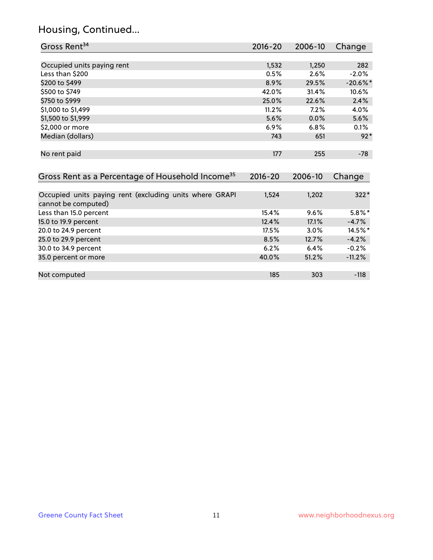# Housing, Continued...

| Gross Rent <sup>34</sup>                                                       | 2016-20            | 2006-10        | Change          |
|--------------------------------------------------------------------------------|--------------------|----------------|-----------------|
|                                                                                |                    |                |                 |
| Occupied units paying rent                                                     | 1,532              | 1,250          | 282             |
| Less than \$200                                                                | 0.5%               | 2.6%           | $-2.0%$         |
| \$200 to \$499                                                                 | 8.9%               | 29.5%          | $-20.6%$ *      |
| \$500 to \$749                                                                 | 42.0%              | 31.4%          | 10.6%           |
| \$750 to \$999                                                                 | 25.0%              | 22.6%          | 2.4%            |
| \$1,000 to \$1,499                                                             | 11.2%              | 7.2%           | 4.0%            |
| \$1,500 to \$1,999                                                             | 5.6%               | 0.0%           | 5.6%            |
| \$2,000 or more                                                                | 6.9%               | 6.8%           | 0.1%            |
| Median (dollars)                                                               | 743                | 651            | $92*$           |
| No rent paid<br>Gross Rent as a Percentage of Household Income <sup>35</sup>   | 177<br>$2016 - 20$ | 255<br>2006-10 | $-78$<br>Change |
|                                                                                |                    |                |                 |
| Occupied units paying rent (excluding units where GRAPI<br>cannot be computed) | 1,524              | 1,202          | $322*$          |
| Less than 15.0 percent                                                         | 15.4%              | 9.6%           | $5.8\%$ *       |
| 15.0 to 19.9 percent                                                           | 12.4%              | 17.1%          | $-4.7%$         |
| 20.0 to 24.9 percent                                                           | 17.5%              | 3.0%           | 14.5%*          |
| 25.0 to 29.9 percent                                                           | 8.5%               | 12.7%          | $-4.2%$         |
| 30.0 to 34.9 percent                                                           | 6.2%               | 6.4%           | $-0.2%$         |
| 35.0 percent or more                                                           | 40.0%              | 51.2%          | $-11.2%$        |
| Not computed                                                                   | 185                | 303            | $-118$          |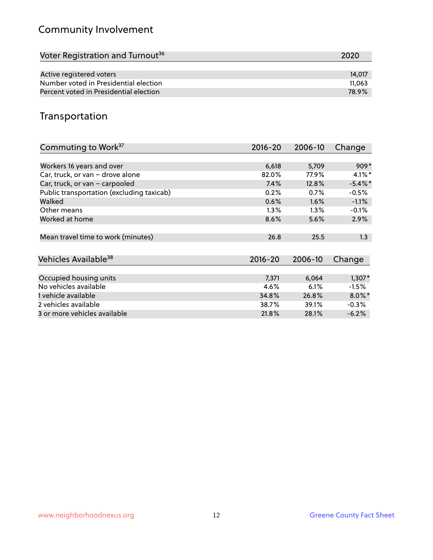# Community Involvement

| Voter Registration and Turnout <sup>36</sup> | 2020   |
|----------------------------------------------|--------|
|                                              |        |
| Active registered voters                     | 14.017 |
| Number voted in Presidential election        | 11.063 |
| Percent voted in Presidential election       | 78.9%  |

## Transportation

| Commuting to Work <sup>37</sup>           | $2016 - 20$ | 2006-10 | Change     |
|-------------------------------------------|-------------|---------|------------|
|                                           |             |         |            |
| Workers 16 years and over                 | 6,618       | 5,709   | $909*$     |
| Car, truck, or van - drove alone          | 82.0%       | 77.9%   | $4.1\%$ *  |
| Car, truck, or van - carpooled            | 7.4%        | 12.8%   | $-5.4\%$ * |
| Public transportation (excluding taxicab) | 0.2%        | 0.7%    | $-0.5%$    |
| Walked                                    | 0.6%        | 1.6%    | $-1.1%$    |
| Other means                               | $1.3\%$     | $1.3\%$ | $-0.1%$    |
| Worked at home                            | 8.6%        | 5.6%    | 2.9%       |
|                                           |             |         |            |
| Mean travel time to work (minutes)        | 26.8        | 25.5    | 1.3        |
|                                           |             |         |            |
| Vehicles Available <sup>38</sup>          | $2016 - 20$ | 2006-10 | Change     |
|                                           |             |         |            |
| Occupied housing units                    | 7,371       | 6,064   | $1,307*$   |
| No vehicles available                     | 4.6%        | 6.1%    | $-1.5%$    |
| 1 vehicle available                       | 34.8%       | 26.8%   | $8.0\%$ *  |
| 2 vehicles available                      | 38.7%       | 39.1%   | $-0.3%$    |
| 3 or more vehicles available              | 21.8%       | 28.1%   | $-6.2%$    |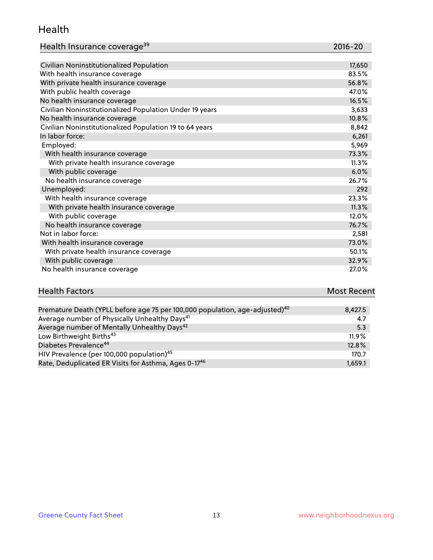#### Health

| Health Insurance coverage <sup>39</sup> | 2016-20 |
|-----------------------------------------|---------|
|-----------------------------------------|---------|

| Civilian Noninstitutionalized Population                | 17,650 |
|---------------------------------------------------------|--------|
| With health insurance coverage                          | 83.5%  |
| With private health insurance coverage                  | 56.8%  |
| With public health coverage                             | 47.0%  |
| No health insurance coverage                            | 16.5%  |
| Civilian Noninstitutionalized Population Under 19 years | 3,633  |
| No health insurance coverage                            | 10.8%  |
| Civilian Noninstitutionalized Population 19 to 64 years | 8,842  |
| In labor force:                                         | 6,261  |
| Employed:                                               | 5,969  |
| With health insurance coverage                          | 73.3%  |
| With private health insurance coverage                  | 11.3%  |
| With public coverage                                    | 6.0%   |
| No health insurance coverage                            | 26.7%  |
| Unemployed:                                             | 292    |
| With health insurance coverage                          | 23.3%  |
| With private health insurance coverage                  | 11.3%  |
| With public coverage                                    | 12.0%  |
| No health insurance coverage                            | 76.7%  |
| Not in labor force:                                     | 2,581  |
| With health insurance coverage                          | 73.0%  |
| With private health insurance coverage                  | 50.1%  |
| With public coverage                                    | 32.9%  |
| No health insurance coverage                            | 27.0%  |

| <b>Health Factors</b>                                                                   | <b>Most Recent</b> |
|-----------------------------------------------------------------------------------------|--------------------|
|                                                                                         |                    |
| Premature Death (YPLL before age 75 per 100,000 population, age-adjusted) <sup>40</sup> | 8,427.5            |

| Premature Death (YPLL before age 75 per 100,000 population, age-adjusted). | 8.427.5  |
|----------------------------------------------------------------------------|----------|
| Average number of Physically Unhealthy Days <sup>41</sup>                  | 4.7      |
| Average number of Mentally Unhealthy Days <sup>42</sup>                    | 5.3      |
| Low Birthweight Births <sup>43</sup>                                       | $11.9\%$ |
| Diabetes Prevalence <sup>44</sup>                                          | 12.8%    |
| HIV Prevalence (per 100,000 population) <sup>45</sup>                      | 170.7    |
| Rate, Deduplicated ER Visits for Asthma, Ages 0-17 <sup>46</sup>           | 1.659.1  |